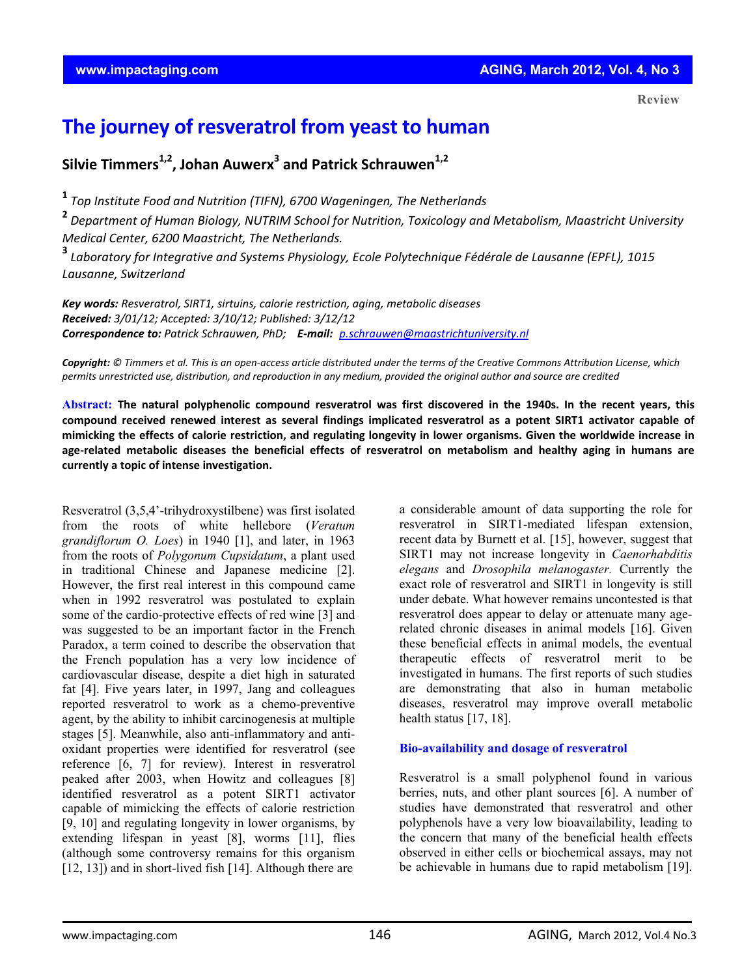# **The journey of resveratrol from yeast to human**

**Silvie Timmers1,2, Johan Auwerx<sup>3</sup> and Patrick Schrauwen1,2**

**<sup>1</sup>** *Top Institute Food and Nutrition (TIFN), 6700 Wageningen, The Netherlands*

**<sup>2</sup>** *Department of Human Biology, NUTRIM School for Nutrition, Toxicology and Metabolism, Maastricht University Medical Center, 6200 Maastricht, The Netherlands.* 

**<sup>3</sup>** *Laboratory for Integrative and Systems Physiology, Ecole Polytechnique Fédérale de Lausanne (EPFL), 1015 Lausanne, Switzerland*

*Key words: Resveratrol, SIRT1, sirtuins, calorie restriction, aging, metabolic diseases Received: 3/01/12; Accepted: 3/10/12; Published: 3/12/12 Correspondence to: Patrick Schrauwen, PhD; E‐mail: p.schrauwen@maastrichtuniversity.nl*

Copyright: © Timmers et al. This is an open-access article distributed under the terms of the Creative Commons Attribution License, which permits unrestricted use, distribution, and reproduction in any medium, provided the original author and source are credited

Abstract: The natural polyphenolic compound resveratrol was first discovered in the 1940s. In the recent years, this compound received renewed interest as several findings implicated resveratrol as a potent SIRT1 activator capable of mimicking the effects of calorie restriction, and regulating longevity in lower organisms. Given the worldwide increase in age-related metabolic diseases the beneficial effects of resveratrol on metabolism and healthy aging in humans are **currently a topic of intense investigation.**

Resveratrol (3,5,4'-trihydroxystilbene) was first isolated from the roots of white hellebore (*Veratum grandiflorum O. Loes*) in 1940 [1], and later, in 1963 from the roots of *Polygonum Cupsidatum*, a plant used in traditional Chinese and Japanese medicine [2]. However, the first real interest in this compound came when in 1992 resveratrol was postulated to explain some of the cardio-protective effects of red wine [3] and was suggested to be an important factor in the French Paradox, a term coined to describe the observation that the French population has a very low incidence of cardiovascular disease, despite a diet high in saturated fat [4]. Five years later, in 1997, Jang and colleagues reported resveratrol to work as a chemo-preventive agent, by the ability to inhibit carcinogenesis at multiple stages [5]. Meanwhile, also anti-inflammatory and antioxidant properties were identified for resveratrol (see reference [6, 7] for review). Interest in resveratrol peaked after 2003, when Howitz and colleagues [8] identified resveratrol as a potent SIRT1 activator capable of mimicking the effects of calorie restriction [9, 10] and regulating longevity in lower organisms, by extending lifespan in yeast [8], worms [11], flies (although some controversy remains for this organism [12, 13]) and in short-lived fish [14]. Although there are

a considerable amount of data supporting the role for resveratrol in SIRT1-mediated lifespan extension, recent data by Burnett et al. [15], however, suggest that SIRT1 may not increase longevity in *Caenorhabditis elegans* and *Drosophila melanogaster.* Currently the exact role of resveratrol and SIRT1 in longevity is still under debate. What however remains uncontested is that resveratrol does appear to delay or attenuate many agerelated chronic diseases in animal models [16]. Given these beneficial effects in animal models, the eventual therapeutic effects of resveratrol merit to be investigated in humans. The first reports of such studies are demonstrating that also in human metabolic diseases, resveratrol may improve overall metabolic health status [17, 18].

#### **Bio-availability and dosage of resveratrol**

Resveratrol is a small polyphenol found in various berries, nuts, and other plant sources [6]. A number of studies have demonstrated that resveratrol and other polyphenols have a very low bioavailability, leading to the concern that many of the beneficial health effects observed in either cells or biochemical assays, may not be achievable in humans due to rapid metabolism [19].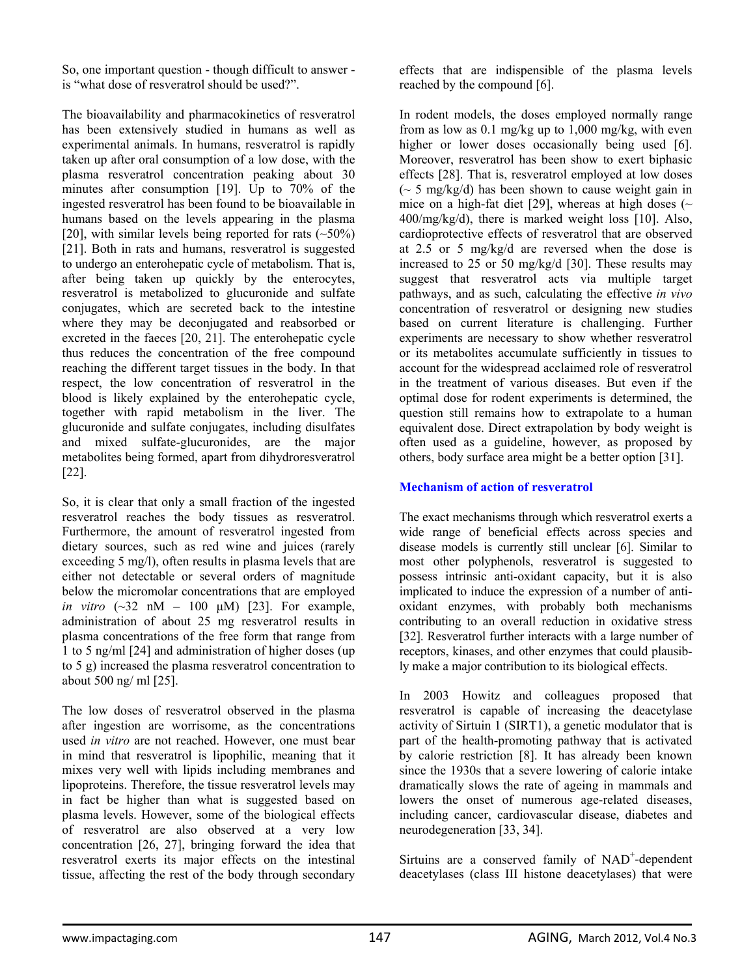So, one important question - though difficult to answer is "what dose of resveratrol should be used?".

The bioavailability and pharmacokinetics of resveratrol has been extensively studied in humans as well as experimental animals. In humans, resveratrol is rapidly taken up after oral consumption of a low dose, with the plasma resveratrol concentration peaking about 30 minutes after consumption [19]. Up to 70% of the ingested resveratrol has been found to be bioavailable in humans based on the levels appearing in the plasma [20], with similar levels being reported for rats  $(-50\%)$ [21]. Both in rats and humans, resveratrol is suggested to undergo an enterohepatic cycle of metabolism. That is, after being taken up quickly by the enterocytes, resveratrol is metabolized to glucuronide and sulfate conjugates, which are secreted back to the intestine where they may be deconjugated and reabsorbed or excreted in the faeces [20, 21]. The enterohepatic cycle thus reduces the concentration of the free compound reaching the different target tissues in the body. In that respect, the low concentration of resveratrol in the blood is likely explained by the enterohepatic cycle, together with rapid metabolism in the liver. The glucuronide and sulfate conjugates, including disulfates and mixed sulfate-glucuronides, are the major metabolites being formed, apart from dihydroresveratrol [22].

So, it is clear that only a small fraction of the ingested resveratrol reaches the body tissues as resveratrol. Furthermore, the amount of resveratrol ingested from dietary sources, such as red wine and juices (rarely exceeding 5 mg/l), often results in plasma levels that are either not detectable or several orders of magnitude below the micromolar concentrations that are employed *in vitro* (~32 nM – 100 μM) [23]. For example, administration of about 25 mg resveratrol results in plasma concentrations of the free form that range from 1 to 5 ng/ml [24] and administration of higher doses (up to 5 g) increased the plasma resveratrol concentration to about 500 ng/ ml [25].

The low doses of resveratrol observed in the plasma after ingestion are worrisome, as the concentrations used *in vitro* are not reached. However, one must bear in mind that resveratrol is lipophilic, meaning that it mixes very well with lipids including membranes and lipoproteins. Therefore, the tissue resveratrol levels may in fact be higher than what is suggested based on plasma levels. However, some of the biological effects of resveratrol are also observed at a very low concentration [26, 27], bringing forward the idea that resveratrol exerts its major effects on the intestinal tissue, affecting the rest of the body through secondary

effects that are indispensible of the plasma levels reached by the compound [6].

In rodent models, the doses employed normally range from as low as 0.1 mg/kg up to 1,000 mg/kg, with even higher or lower doses occasionally being used [6]. Moreover, resveratrol has been show to exert biphasic effects [28]. That is, resveratrol employed at low doses  $\sim$  5 mg/kg/d) has been shown to cause weight gain in mice on a high-fat diet [29], whereas at high doses ( $\sim$  $400/mg/kg/d$ , there is marked weight loss [10]. Also, cardioprotective effects of resveratrol that are observed at 2.5 or 5 mg/kg/d are reversed when the dose is increased to 25 or 50 mg/kg/d [30]. These results may suggest that resveratrol acts via multiple target pathways, and as such, calculating the effective *in vivo* concentration of resveratrol or designing new studies based on current literature is challenging. Further experiments are necessary to show whether resveratrol or its metabolites accumulate sufficiently in tissues to account for the widespread acclaimed role of resveratrol in the treatment of various diseases. But even if the optimal dose for rodent experiments is determined, the question still remains how to extrapolate to a human equivalent dose. Direct extrapolation by body weight is often used as a guideline, however, as proposed by others, body surface area might be a better option [31].

## **Mechanism of action of resveratrol**

The exact mechanisms through which resveratrol exerts a wide range of beneficial effects across species and disease models is currently still unclear [6]. Similar to most other polyphenols, resveratrol is suggested to possess intrinsic anti-oxidant capacity, but it is also implicated to induce the expression of a number of antioxidant enzymes, with probably both mechanisms contributing to an overall reduction in oxidative stress [32]. Resveratrol further interacts with a large number of receptors, kinases, and other enzymes that could plausibly make a major contribution to its biological effects.

In 2003 Howitz and colleagues proposed that resveratrol is capable of increasing the deacetylase activity of Sirtuin 1 (SIRT1), a genetic modulator that is part of the health-promoting pathway that is activated by calorie restriction [8]. It has already been known since the 1930s that a severe lowering of calorie intake dramatically slows the rate of ageing in mammals and lowers the onset of numerous age-related diseases, including cancer, cardiovascular disease, diabetes and neurodegeneration [33, 34].

Sirtuins are a conserved family of NAD<sup>+</sup>-dependent deacetylases (class III histone deacetylases) that were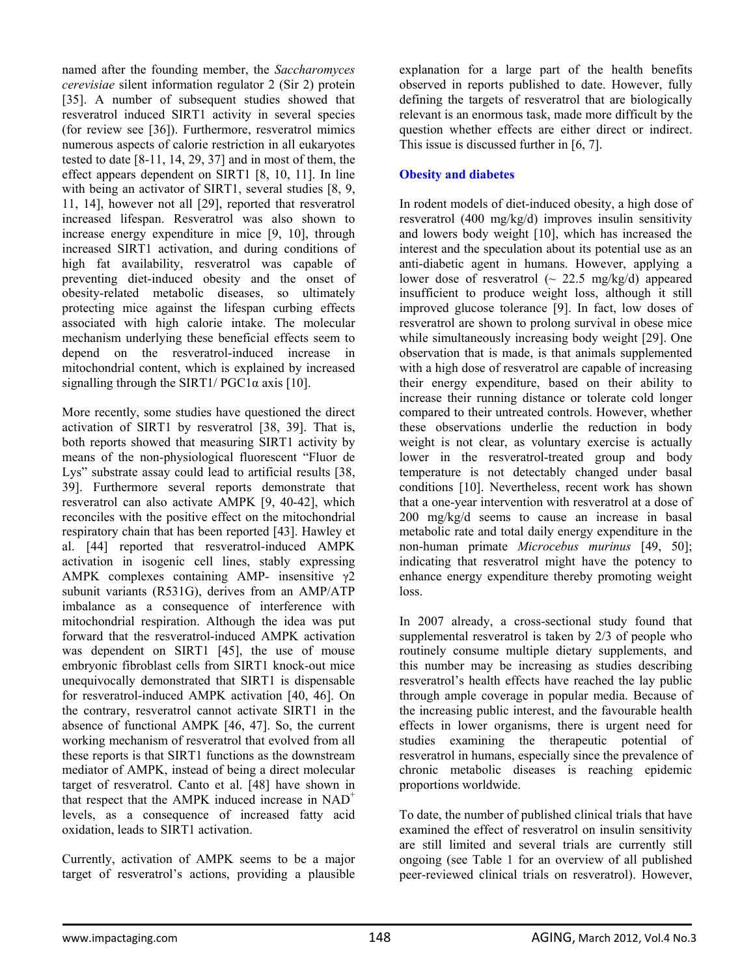named after the founding member, the *Saccharomyces cerevisiae* silent information regulator 2 (Sir 2) protein [35]. A number of subsequent studies showed that resveratrol induced SIRT1 activity in several species (for review see [36]). Furthermore, resveratrol mimics numerous aspects of calorie restriction in all eukaryotes tested to date [8-11, 14, 29, 37] and in most of them, the effect appears dependent on SIRT1 [8, 10, 11]. In line with being an activator of SIRT1, several studies [8, 9, 11, 14], however not all [29], reported that resveratrol increased lifespan. Resveratrol was also shown to increase energy expenditure in mice [9, 10], through increased SIRT1 activation, and during conditions of high fat availability, resveratrol was capable of preventing diet-induced obesity and the onset of obesity-related metabolic diseases, so ultimately protecting mice against the lifespan curbing effects associated with high calorie intake. The molecular mechanism underlying these beneficial effects seem to depend on the resveratrol-induced increase in mitochondrial content, which is explained by increased signalling through the SIRT1/  $PGC1\alpha$  axis [10].

More recently, some studies have questioned the direct activation of SIRT1 by resveratrol [38, 39]. That is, both reports showed that measuring SIRT1 activity by means of the non-physiological fluorescent "Fluor de Lys" substrate assay could lead to artificial results [38, 39]. Furthermore several reports demonstrate that resveratrol can also activate AMPK [9, 40-42], which reconciles with the positive effect on the mitochondrial respiratory chain that has been reported [43]. Hawley et al. [44] reported that resveratrol-induced AMPK activation in isogenic cell lines, stably expressing AMPK complexes containing AMP- insensitive  $\gamma$ 2 subunit variants (R531G), derives from an AMP/ATP imbalance as a consequence of interference with mitochondrial respiration. Although the idea was put forward that the resveratrol-induced AMPK activation was dependent on SIRT1 [45], the use of mouse embryonic fibroblast cells from SIRT1 knock-out mice unequivocally demonstrated that SIRT1 is dispensable for resveratrol-induced AMPK activation [40, 46]. On the contrary, resveratrol cannot activate SIRT1 in the absence of functional AMPK [46, 47]. So, the current working mechanism of resveratrol that evolved from all these reports is that SIRT1 functions as the downstream mediator of AMPK, instead of being a direct molecular target of resveratrol. Canto et al. [48] have shown in that respect that the AMPK induced increase in  $NAD^+$ levels, as a consequence of increased fatty acid oxidation, leads to SIRT1 activation.

Currently, activation of AMPK seems to be a major target of resveratrol's actions, providing a plausible

explanation for a large part of the health benefits observed in reports published to date. However, fully defining the targets of resveratrol that are biologically relevant is an enormous task, made more difficult by the question whether effects are either direct or indirect. This issue is discussed further in [6, 7].

#### **Obesity and diabetes**

In rodent models of diet-induced obesity, a high dose of resveratrol (400 mg/kg/d) improves insulin sensitivity and lowers body weight [10], which has increased the interest and the speculation about its potential use as an anti-diabetic agent in humans. However, applying a lower dose of resveratrol  $\left(\sim 22.5 \text{ mg/kg/d}\right)$  appeared insufficient to produce weight loss, although it still improved glucose tolerance [9]. In fact, low doses of resveratrol are shown to prolong survival in obese mice while simultaneously increasing body weight [29]. One observation that is made, is that animals supplemented with a high dose of resveratrol are capable of increasing their energy expenditure, based on their ability to increase their running distance or tolerate cold longer compared to their untreated controls. However, whether these observations underlie the reduction in body weight is not clear, as voluntary exercise is actually lower in the resveratrol-treated group and body temperature is not detectably changed under basal conditions [10]. Nevertheless, recent work has shown that a one-year intervention with resveratrol at a dose of 200 mg/kg/d seems to cause an increase in basal metabolic rate and total daily energy expenditure in the non-human primate *Microcebus murinus* [49, 50]; indicating that resveratrol might have the potency to enhance energy expenditure thereby promoting weight loss.

In 2007 already, a cross-sectional study found that supplemental resveratrol is taken by 2/3 of people who routinely consume multiple dietary supplements, and this number may be increasing as studies describing resveratrol's health effects have reached the lay public through ample coverage in popular media. Because of the increasing public interest, and the favourable health effects in lower organisms, there is urgent need for studies examining the therapeutic potential of resveratrol in humans, especially since the prevalence of chronic metabolic diseases is reaching epidemic proportions worldwide.

To date, the number of published clinical trials that have examined the effect of resveratrol on insulin sensitivity are still limited and several trials are currently still ongoing (see Table 1 for an overview of all published peer-reviewed clinical trials on resveratrol). However,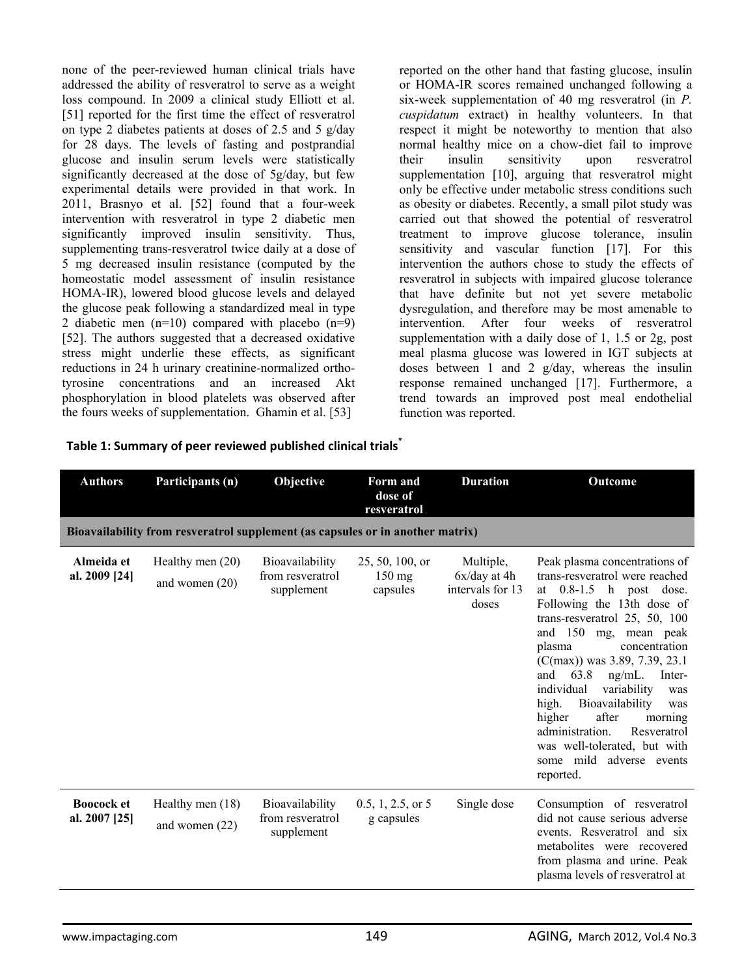none of the peer-reviewed human clinical trials have addressed the ability of resveratrol to serve as a weight loss compound. In 2009 a clinical study Elliott et al. [51] reported for the first time the effect of resveratrol on type 2 diabetes patients at doses of 2.5 and 5 g/day for 28 days. The levels of fasting and postprandial glucose and insulin serum levels were statistically significantly decreased at the dose of 5g/day, but few experimental details were provided in that work. In 2011, Brasnyo et al. [52] found that a four-week intervention with resveratrol in type 2 diabetic men significantly improved insulin sensitivity. Thus, supplementing trans-resveratrol twice daily at a dose of 5 mg decreased insulin resistance (computed by the homeostatic model assessment of insulin resistance HOMA-IR), lowered blood glucose levels and delayed the glucose peak following a standardized meal in type 2 diabetic men (n=10) compared with placebo (n=9) [52]. The authors suggested that a decreased oxidative stress might underlie these effects, as significant reductions in 24 h urinary creatinine-normalized orthotyrosine concentrations and an increased Akt phosphorylation in blood platelets was observed after the fours weeks of supplementation. Ghamin et al. [53]

**Table 1: Summary of peer reviewed published clinical trials\***

reported on the other hand that fasting glucose, insulin or HOMA-IR scores remained unchanged following a six-week supplementation of 40 mg resveratrol (in *P. cuspidatum* extract) in healthy volunteers. In that respect it might be noteworthy to mention that also normal healthy mice on a chow-diet fail to improve their insulin sensitivity upon resveratrol supplementation [10], arguing that resveratrol might only be effective under metabolic stress conditions such as obesity or diabetes. Recently, a small pilot study was carried out that showed the potential of resveratrol treatment to improve glucose tolerance, insulin sensitivity and vascular function [17]. For this intervention the authors chose to study the effects of resveratrol in subjects with impaired glucose tolerance that have definite but not yet severe metabolic dysregulation, and therefore may be most amenable to intervention. After four weeks of resveratrol supplementation with a daily dose of 1, 1.5 or 2g, post meal plasma glucose was lowered in IGT subjects at doses between 1 and 2 g/day, whereas the insulin response remained unchanged [17]. Furthermore, a trend towards an improved post meal endothelial function was reported.

| <b>Authors</b>                     | Participants (n)                                                               | Objective                                         | Form and<br>dose of<br>resveratrol              | <b>Duration</b>                                          | Outcome                                                                                                                                                                                                                                                                                                                                                                                                                                                                                                |
|------------------------------------|--------------------------------------------------------------------------------|---------------------------------------------------|-------------------------------------------------|----------------------------------------------------------|--------------------------------------------------------------------------------------------------------------------------------------------------------------------------------------------------------------------------------------------------------------------------------------------------------------------------------------------------------------------------------------------------------------------------------------------------------------------------------------------------------|
|                                    | Bioavailability from resveratrol supplement (as capsules or in another matrix) |                                                   |                                                 |                                                          |                                                                                                                                                                                                                                                                                                                                                                                                                                                                                                        |
| Almeida et<br>al. 2009 [24]        | Healthy men $(20)$<br>and women $(20)$                                         | Bioavailability<br>from resveratrol<br>supplement | 25, 50, 100, or<br>$150 \text{ mg}$<br>capsules | Multiple,<br>$6x/day$ at 4h<br>intervals for 13<br>doses | Peak plasma concentrations of<br>trans-resveratrol were reached<br>at 0.8-1.5 h post dose.<br>Following the 13th dose of<br>trans-resveratrol 25, 50, 100<br>and 150 mg, mean peak<br>concentration<br>plasma<br>$(C(max))$ was 3.89, 7.39, 23.1<br>63.8<br>and<br>$ng/mL$ .<br>Inter-<br>individual<br>variability<br>was<br>high.<br>Bioavailability<br>was<br>higher<br>after<br>morning<br>administration.<br>Resveratrol<br>was well-tolerated, but with<br>some mild adverse events<br>reported. |
| <b>Boocock et</b><br>al. 2007 [25] | Healthy men (18)<br>and women $(22)$                                           | Bioavailability<br>from resveratrol<br>supplement | $0.5, 1, 2.5,$ or 5<br>g capsules               | Single dose                                              | Consumption of resveratrol<br>did not cause serious adverse<br>events. Resveratrol and six<br>metabolites were recovered<br>from plasma and urine. Peak<br>plasma levels of resveratrol at                                                                                                                                                                                                                                                                                                             |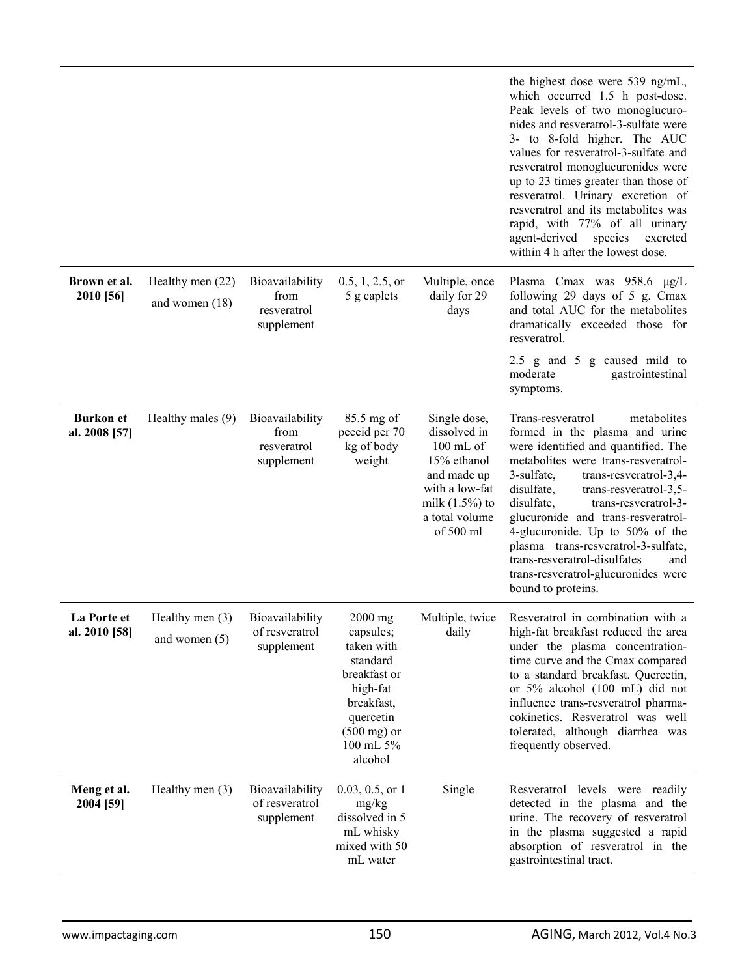|                                   |                                        |                                                      |                                                                                                                                                          |                                                                                                                                              | the highest dose were 539 ng/mL,<br>which occurred 1.5 h post-dose.<br>Peak levels of two monoglucuro-<br>nides and resveratrol-3-sulfate were<br>3- to 8-fold higher. The AUC<br>values for resveratrol-3-sulfate and<br>resveratrol monoglucuronides were<br>up to 23 times greater than those of<br>resveratrol. Urinary excretion of<br>resveratrol and its metabolites was<br>rapid, with 77% of all urinary<br>agent-derived<br>species<br>excreted<br>within 4 h after the lowest dose. |
|-----------------------------------|----------------------------------------|------------------------------------------------------|----------------------------------------------------------------------------------------------------------------------------------------------------------|----------------------------------------------------------------------------------------------------------------------------------------------|------------------------------------------------------------------------------------------------------------------------------------------------------------------------------------------------------------------------------------------------------------------------------------------------------------------------------------------------------------------------------------------------------------------------------------------------------------------------------------------------|
| Brown et al.<br>2010 [56]         | Healthy men $(22)$<br>and women $(18)$ | Bioavailability<br>from<br>resveratrol<br>supplement | $0.5, 1, 2.5,$ or<br>5 g caplets                                                                                                                         | Multiple, once<br>daily for 29<br>days                                                                                                       | Plasma Cmax was 958.6 µg/L<br>following 29 days of 5 g. Cmax<br>and total AUC for the metabolites<br>dramatically exceeded those for<br>resveratrol.                                                                                                                                                                                                                                                                                                                                           |
|                                   |                                        |                                                      |                                                                                                                                                          |                                                                                                                                              | 2.5 $\mu$ and 5 $\mu$ caused mild to<br>moderate<br>gastrointestinal<br>symptoms.                                                                                                                                                                                                                                                                                                                                                                                                              |
| <b>Burkon</b> et<br>al. 2008 [57] | Healthy males (9)                      | Bioavailability<br>from<br>resveratrol<br>supplement | 85.5 mg of<br>peceid per 70<br>kg of body<br>weight                                                                                                      | Single dose,<br>dissolved in<br>100 mL of<br>15% ethanol<br>and made up<br>with a low-fat<br>milk $(1.5%)$ to<br>a total volume<br>of 500 ml | metabolites<br>Trans-resveratrol<br>formed in the plasma and urine<br>were identified and quantified. The<br>metabolites were trans-resveratrol-<br>3-sulfate,<br>trans-resveratrol-3,4-<br>disulfate,<br>trans-resveratrol-3,5-<br>disulfate,<br>trans-resveratrol-3-<br>glucuronide and trans-resveratrol-<br>4-glucuronide. Up to 50% of the<br>plasma trans-resveratrol-3-sulfate,<br>trans-resveratrol-disulfates<br>and<br>trans-resveratrol-glucuronides were<br>bound to proteins.     |
| La Porte et<br>al. 2010 [58]      | Healthy men $(3)$<br>and women $(5)$   | Bioavailability<br>of resveratrol<br>supplement      | $2000$ mg<br>capsules;<br>taken with<br>standard<br>breakfast or<br>high-fat<br>breakfast,<br>quercetin<br>$(500 \text{ mg})$ or<br>100 mL 5%<br>alcohol | Multiple, twice<br>daily                                                                                                                     | Resveratrol in combination with a<br>high-fat breakfast reduced the area<br>under the plasma concentration-<br>time curve and the Cmax compared<br>to a standard breakfast. Quercetin,<br>or 5% alcohol (100 mL) did not<br>influence trans-resveratrol pharma-<br>cokinetics. Resveratrol was well<br>tolerated, although diarrhea was<br>frequently observed.                                                                                                                                |
| Meng et al.<br>2004 [59]          | Healthy men $(3)$                      | Bioavailability<br>of resveratrol<br>supplement      | $0.03, 0.5,$ or 1<br>mg/kg<br>dissolved in 5<br>mL whisky<br>mixed with 50<br>mL water                                                                   | Single                                                                                                                                       | Resveratrol levels were readily<br>detected in the plasma and the<br>urine. The recovery of resveratrol<br>in the plasma suggested a rapid<br>absorption of resveratrol in the<br>gastrointestinal tract.                                                                                                                                                                                                                                                                                      |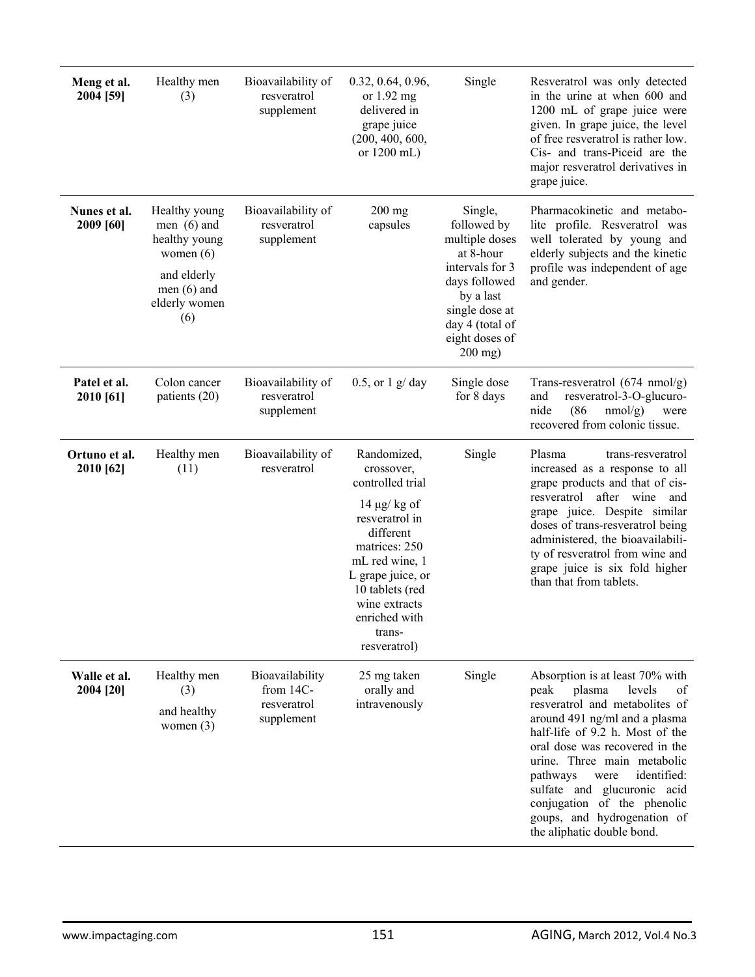| Meng et al.<br>2004 [59]   | Healthy men<br>(3)                                                                                                     | Bioavailability of<br>resveratrol<br>supplement           | 0.32, 0.64, 0.96,<br>or $1.92$ mg<br>delivered in<br>grape juice<br>(200, 400, 600,<br>or 1200 mL)                                                                                                                                      | Single                                                                                                                                                                     | Resveratrol was only detected<br>in the urine at when 600 and<br>1200 mL of grape juice were<br>given. In grape juice, the level<br>of free resveratrol is rather low.<br>Cis- and trans-Piceid are the<br>major resveratrol derivatives in<br>grape juice.                                                                                                                                            |
|----------------------------|------------------------------------------------------------------------------------------------------------------------|-----------------------------------------------------------|-----------------------------------------------------------------------------------------------------------------------------------------------------------------------------------------------------------------------------------------|----------------------------------------------------------------------------------------------------------------------------------------------------------------------------|--------------------------------------------------------------------------------------------------------------------------------------------------------------------------------------------------------------------------------------------------------------------------------------------------------------------------------------------------------------------------------------------------------|
| Nunes et al.<br>2009 [60]  | Healthy young<br>men $(6)$ and<br>healthy young<br>women $(6)$<br>and elderly<br>men $(6)$ and<br>elderly women<br>(6) | Bioavailability of<br>resveratrol<br>supplement           | $200$ mg<br>capsules                                                                                                                                                                                                                    | Single,<br>followed by<br>multiple doses<br>at 8-hour<br>intervals for 3<br>days followed<br>by a last<br>single dose at<br>day 4 (total of<br>eight doses of<br>$200$ mg) | Pharmacokinetic and metabo-<br>lite profile. Resveratrol was<br>well tolerated by young and<br>elderly subjects and the kinetic<br>profile was independent of age<br>and gender.                                                                                                                                                                                                                       |
| Patel et al.<br>2010 [61]  | Colon cancer<br>patients (20)                                                                                          | Bioavailability of<br>resveratrol<br>supplement           | $0.5$ , or $1$ g/day                                                                                                                                                                                                                    | Single dose<br>for 8 days                                                                                                                                                  | Trans-resveratrol (674 nmol/g)<br>resveratrol-3-O-glucuro-<br>and<br>nide<br>(86)<br>$nmol/g$ )<br>were<br>recovered from colonic tissue.                                                                                                                                                                                                                                                              |
| Ortuno et al.<br>2010 [62] | Healthy men<br>(11)                                                                                                    | Bioavailability of<br>resveratrol                         | Randomized,<br>crossover,<br>controlled trial<br>14 $\mu$ g/kg of<br>resveratrol in<br>different<br>matrices: 250<br>mL red wine, 1<br>L grape juice, or<br>10 tablets (red<br>wine extracts<br>enriched with<br>trans-<br>resveratrol) | Single                                                                                                                                                                     | Plasma<br>trans-resveratrol<br>increased as a response to all<br>grape products and that of cis-<br>resveratrol<br>after<br>wine<br>and<br>grape juice. Despite similar<br>doses of trans-resveratrol being<br>administered, the bioavailabili-<br>ty of resveratrol from wine and<br>grape juice is six fold higher<br>than that from tablets.                                                        |
| Walle et al.<br>2004 [20]  | Healthy men<br>(3)<br>and healthy<br>women $(3)$                                                                       | Bioavailability<br>from 14C-<br>resveratrol<br>supplement | 25 mg taken<br>orally and<br>intravenously                                                                                                                                                                                              | Single                                                                                                                                                                     | Absorption is at least 70% with<br>plasma<br>peak<br>levels<br>of<br>resveratrol and metabolites of<br>around 491 ng/ml and a plasma<br>half-life of 9.2 h. Most of the<br>oral dose was recovered in the<br>urine. Three main metabolic<br>identified:<br>pathways<br>were<br>sulfate and glucuronic acid<br>conjugation of the phenolic<br>goups, and hydrogenation of<br>the aliphatic double bond. |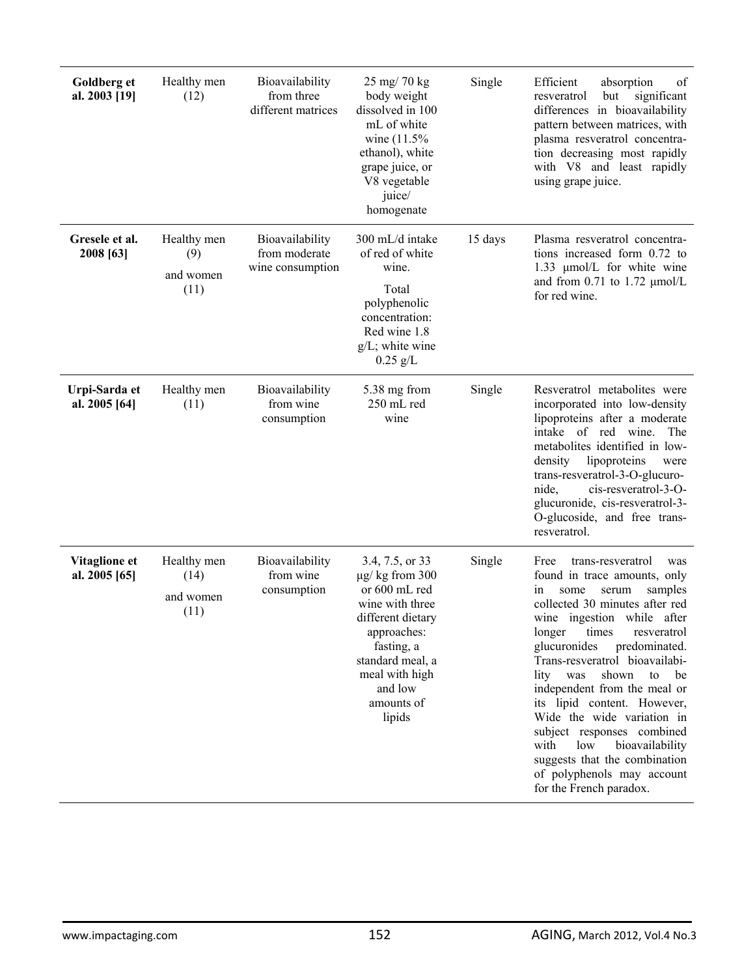| Goldberg et<br>al. 2003 [19]   | Healthy men<br>(12)                      | Bioavailability<br>from three<br>different matrices  | 25 mg/ 70 kg<br>body weight<br>dissolved in 100<br>mL of white<br>wine (11.5%)<br>ethanol), white<br>grape juice, or<br>V8 vegetable<br>juice/<br>homogenate                                          | Single  | Efficient<br>absorption<br>of<br>significant<br>resveratrol<br>but<br>differences in bioavailability<br>pattern between matrices, with<br>plasma resveratrol concentra-<br>tion decreasing most rapidly<br>with V8 and least rapidly<br>using grape juice.                                                                                                                                                                                                                                                                                                   |
|--------------------------------|------------------------------------------|------------------------------------------------------|-------------------------------------------------------------------------------------------------------------------------------------------------------------------------------------------------------|---------|--------------------------------------------------------------------------------------------------------------------------------------------------------------------------------------------------------------------------------------------------------------------------------------------------------------------------------------------------------------------------------------------------------------------------------------------------------------------------------------------------------------------------------------------------------------|
| Gresele et al.<br>2008 [63]    | Healthy men<br>(9)<br>and women<br>(11)  | Bioavailability<br>from moderate<br>wine consumption | 300 mL/d intake<br>of red of white<br>wine.<br>Total<br>polyphenolic<br>concentration:<br>Red wine 1.8<br>$g/L$ ; white wine<br>$0.25$ g/L                                                            | 15 days | Plasma resveratrol concentra-<br>tions increased form 0.72 to<br>1.33 µmol/L for white wine<br>and from $0.71$ to $1.72 \mu \text{mol/L}$<br>for red wine.                                                                                                                                                                                                                                                                                                                                                                                                   |
| Urpi-Sarda et<br>al. 2005 [64] | Healthy men<br>(11)                      | Bioavailability<br>from wine<br>consumption          | 5.38 mg from<br>250 mL red<br>wine                                                                                                                                                                    | Single  | Resveratrol metabolites were<br>incorporated into low-density<br>lipoproteins after a moderate<br>red<br>wine.<br>intake<br>of<br>The<br>metabolites identified in low-<br>lipoproteins<br>density<br>were<br>trans-resveratrol-3-O-glucuro-<br>cis-resveratrol-3-O-<br>nide,<br>glucuronide, cis-resveratrol-3-<br>O-glucoside, and free trans-<br>resveratrol.                                                                                                                                                                                             |
| Vitaglione et<br>al. 2005 [65] | Healthy men<br>(14)<br>and women<br>(11) | Bioavailability<br>from wine<br>consumption          | 3.4, 7.5, or 33<br>$\mu$ g/kg from 300<br>or 600 mL red<br>wine with three<br>different dietary<br>approaches:<br>fasting, a<br>standard meal, a<br>meal with high<br>and low<br>amounts of<br>lipids | Single  | trans-resveratrol<br>Free<br>was<br>found in trace amounts, only<br>samples<br>some<br>serum<br>1n<br>collected 30 minutes after red<br>wine ingestion while after<br>times<br>longer<br>resveratrol<br>glucuronides<br>predominated.<br>Trans-resveratrol bioavailabi-<br>lity was<br>shown to<br>be<br>independent from the meal or<br>its lipid content. However,<br>Wide the wide variation in<br>subject responses combined<br>low<br>bioavailability<br>with<br>suggests that the combination<br>of polyphenols may account<br>for the French paradox. |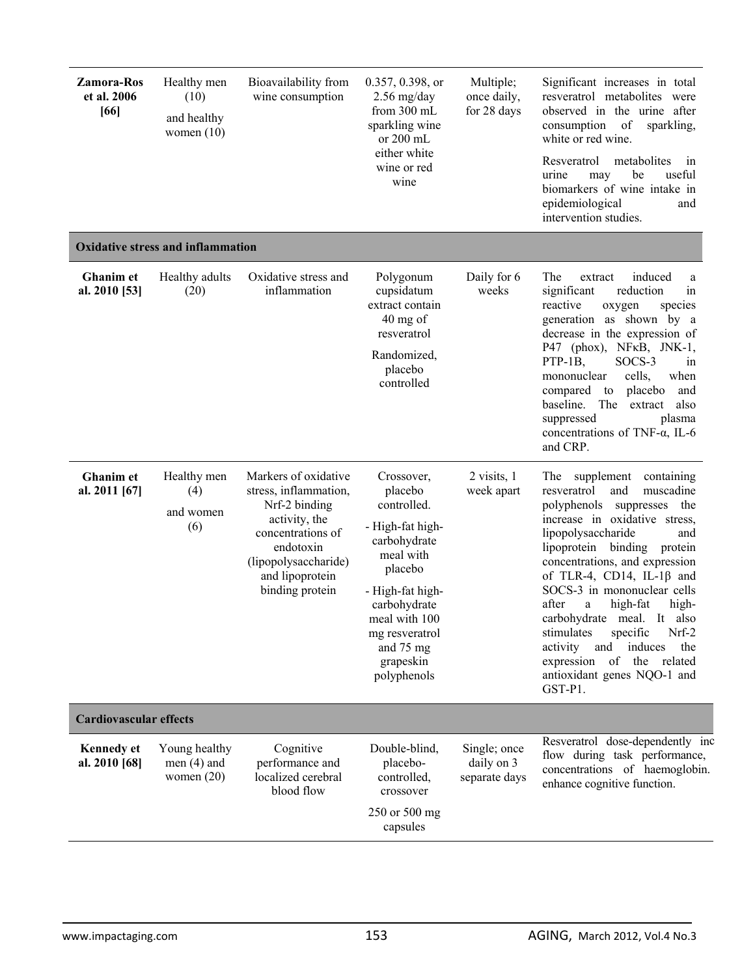| <b>Zamora-Ros</b><br>et al. 2006<br>[66] | Healthy men<br>(10)<br>and healthy<br>women $(10)$ | Bioavailability from<br>wine consumption                                                                                                                                        | 0.357, 0.398, or<br>$2.56$ mg/day<br>from $300$ mL<br>sparkling wine<br>or 200 mL<br>either white<br>wine or red<br>wine                                                                                         | Multiple;<br>once daily,<br>for 28 days     | Significant increases in total<br>resveratrol metabolites were<br>observed in the urine after<br>consumption of<br>sparkling,<br>white or red wine.<br>Resveratrol<br>metabolites<br>in<br>useful<br>be<br>urine<br>may<br>biomarkers of wine intake in<br>epidemiological<br>and<br>intervention studies.                                                                                                                                                                                                                  |  |  |
|------------------------------------------|----------------------------------------------------|---------------------------------------------------------------------------------------------------------------------------------------------------------------------------------|------------------------------------------------------------------------------------------------------------------------------------------------------------------------------------------------------------------|---------------------------------------------|-----------------------------------------------------------------------------------------------------------------------------------------------------------------------------------------------------------------------------------------------------------------------------------------------------------------------------------------------------------------------------------------------------------------------------------------------------------------------------------------------------------------------------|--|--|
|                                          | <b>Oxidative stress and inflammation</b>           |                                                                                                                                                                                 |                                                                                                                                                                                                                  |                                             |                                                                                                                                                                                                                                                                                                                                                                                                                                                                                                                             |  |  |
| <b>Ghanim</b> et<br>al. 2010 [53]        | Healthy adults<br>(20)                             | Oxidative stress and<br>inflammation                                                                                                                                            | Polygonum<br>cupsidatum<br>extract contain<br>40 mg of<br>resveratrol<br>Randomized,<br>placebo<br>controlled                                                                                                    | Daily for 6<br>weeks                        | induced<br>The<br>extract<br>a<br>significant<br>reduction<br>in<br>reactive<br>species<br>oxygen<br>generation as shown by a<br>decrease in the expression of<br>P47 (phox), NFKB, JNK-1,<br>PTP-1B,<br>SOCS-3<br>in<br>cells,<br>mononuclear<br>when<br>compared to<br>placebo<br>and<br>The<br>baseline.<br>also<br>extract<br>suppressed<br>plasma<br>concentrations of TNF- $\alpha$ , IL-6<br>and CRP.                                                                                                                |  |  |
| <b>Ghanim</b> et<br>al. 2011 [67]        | Healthy men<br>(4)<br>and women<br>(6)             | Markers of oxidative<br>stress, inflammation,<br>Nrf-2 binding<br>activity, the<br>concentrations of<br>endotoxin<br>(lipopolysaccharide)<br>and lipoprotein<br>binding protein | Crossover,<br>placebo<br>controlled.<br>- High-fat high-<br>carbohydrate<br>meal with<br>placebo<br>- High-fat high-<br>carbohydrate<br>meal with 100<br>mg resveratrol<br>and 75 mg<br>grapeskin<br>polyphenols | 2 visits, 1<br>week apart                   | The<br>supplement<br>containing<br>resveratrol<br>and<br>muscadine<br>polyphenols<br>the<br>suppresses<br>increase in oxidative stress,<br>lipopolysaccharide<br>and<br>lipoprotein binding protein<br>concentrations, and expression<br>of TLR-4, CD14, IL-1 $\beta$ and<br>SOCS-3 in mononuclear cells<br>after<br>high-fat<br>high-<br>a<br>carbohydrate meal. It also<br>specific<br>Nrf-2<br>stimulates<br>activity<br>induces<br>the<br>and<br>expression of the<br>related<br>antioxidant genes NQO-1 and<br>GST-P1. |  |  |
| <b>Cardiovascular effects</b>            |                                                    |                                                                                                                                                                                 |                                                                                                                                                                                                                  |                                             |                                                                                                                                                                                                                                                                                                                                                                                                                                                                                                                             |  |  |
| <b>Kennedy</b> et<br>al. 2010 [68]       | Young healthy<br>men $(4)$ and<br>women $(20)$     | Cognitive<br>performance and<br>localized cerebral<br>blood flow                                                                                                                | Double-blind,<br>placebo-<br>controlled,<br>crossover<br>250 or 500 mg<br>capsules                                                                                                                               | Single; once<br>daily on 3<br>separate days | Resveratrol dose-dependently inc<br>flow during task performance,<br>concentrations of haemoglobin.<br>enhance cognitive function.                                                                                                                                                                                                                                                                                                                                                                                          |  |  |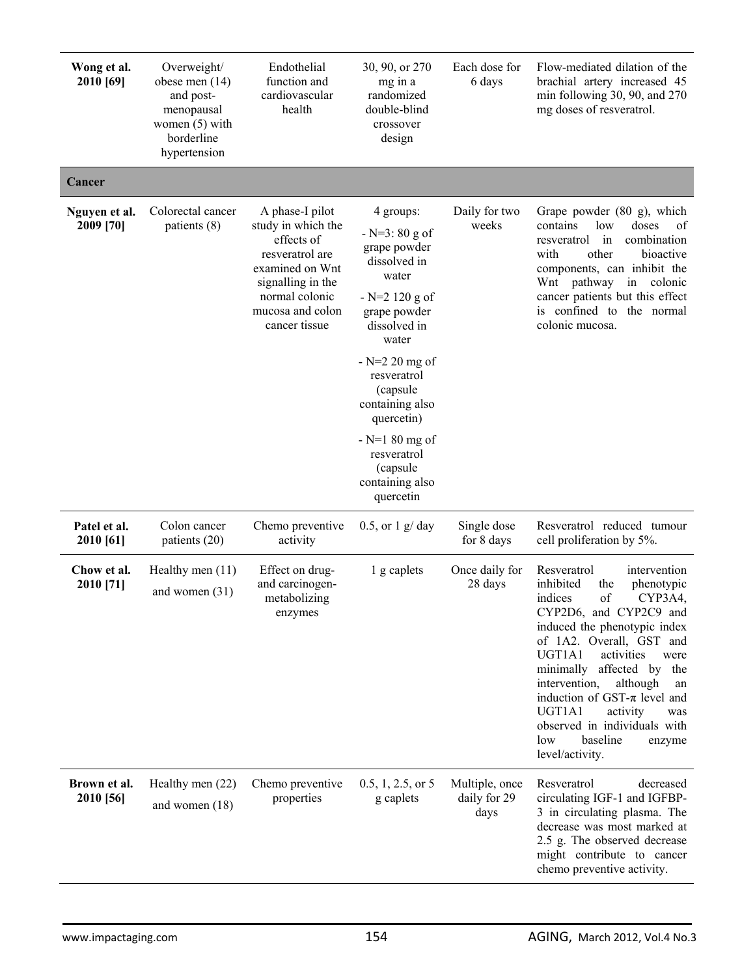| Wong et al.<br>2010 [69]   | Overweight/<br>obese men (14)<br>and post-<br>menopausal<br>women $(5)$ with<br>borderline<br>hypertension | Endothelial<br>function and<br>cardiovascular<br>health                                                                                                               | 30, 90, or 270<br>mg in a<br>randomized<br>double-blind<br>crossover<br>design                                                                                                                                                                                                                   | Each dose for<br>6 days                | Flow-mediated dilation of the<br>brachial artery increased 45<br>min following $30$ , $90$ , and $270$<br>mg doses of resveratrol.                                                                                                                                                                                                                                                                                                |
|----------------------------|------------------------------------------------------------------------------------------------------------|-----------------------------------------------------------------------------------------------------------------------------------------------------------------------|--------------------------------------------------------------------------------------------------------------------------------------------------------------------------------------------------------------------------------------------------------------------------------------------------|----------------------------------------|-----------------------------------------------------------------------------------------------------------------------------------------------------------------------------------------------------------------------------------------------------------------------------------------------------------------------------------------------------------------------------------------------------------------------------------|
| Cancer                     |                                                                                                            |                                                                                                                                                                       |                                                                                                                                                                                                                                                                                                  |                                        |                                                                                                                                                                                                                                                                                                                                                                                                                                   |
| Nguyen et al.<br>2009 [70] | Colorectal cancer<br>patients (8)                                                                          | A phase-I pilot<br>study in which the<br>effects of<br>resveratrol are<br>examined on Wnt<br>signalling in the<br>normal colonic<br>mucosa and colon<br>cancer tissue | 4 groups:<br>$- N=3:80 g of$<br>grape powder<br>dissolved in<br>water<br>$- N=2 120 g of$<br>grape powder<br>dissolved in<br>water<br>$-$ N=2 20 mg of<br>resveratrol<br>(capsule<br>containing also<br>quercetin)<br>$- N=180$ mg of<br>resveratrol<br>(capsule<br>containing also<br>quercetin | Daily for two<br>weeks                 | Grape powder (80 g), which<br>contains<br>doses<br>low<br>0f<br>combination<br>in<br>resveratrol<br>other<br>with<br>bioactive<br>components, can inhibit the<br>Wnt pathway<br>in colonic<br>cancer patients but this effect<br>is confined to the normal<br>colonic mucosa.                                                                                                                                                     |
| Patel et al.<br>2010 [61]  | Colon cancer<br>patients (20)                                                                              | Chemo preventive<br>activity                                                                                                                                          | $0.5$ , or $1 \frac{g}{day}$                                                                                                                                                                                                                                                                     | Single dose<br>for 8 days              | Resveratrol reduced tumour<br>cell proliferation by 5%.                                                                                                                                                                                                                                                                                                                                                                           |
| Chow et al.<br>2010 [71]   | Healthy men $(11)$<br>and women $(31)$                                                                     | Effect on drug-<br>and carcinogen-<br>metabolizing<br>enzymes                                                                                                         | 1 g caplets                                                                                                                                                                                                                                                                                      | Once daily for<br>28 days              | Resveratrol<br>intervention<br>inhibited<br>the<br>phenotypic<br>of<br>indices<br>CYP3A4,<br>CYP2D6, and CYP2C9 and<br>induced the phenotypic index<br>of 1A2. Overall, GST and<br>UGT1A1<br>activities<br>were<br>minimally affected by the<br>intervention,<br>although<br>an<br>induction of GST- $\pi$ level and<br>UGT1A1<br>activity<br>was<br>observed in individuals with<br>baseline<br>low<br>enzyme<br>level/activity. |
| Brown et al.<br>2010 [56]  | Healthy men (22)<br>and women $(18)$                                                                       | Chemo preventive<br>properties                                                                                                                                        | $0.5, 1, 2.5,$ or 5<br>g caplets                                                                                                                                                                                                                                                                 | Multiple, once<br>daily for 29<br>days | Resveratrol<br>decreased<br>circulating IGF-1 and IGFBP-<br>3 in circulating plasma. The<br>decrease was most marked at<br>2.5 g. The observed decrease<br>might contribute to cancer<br>chemo preventive activity.                                                                                                                                                                                                               |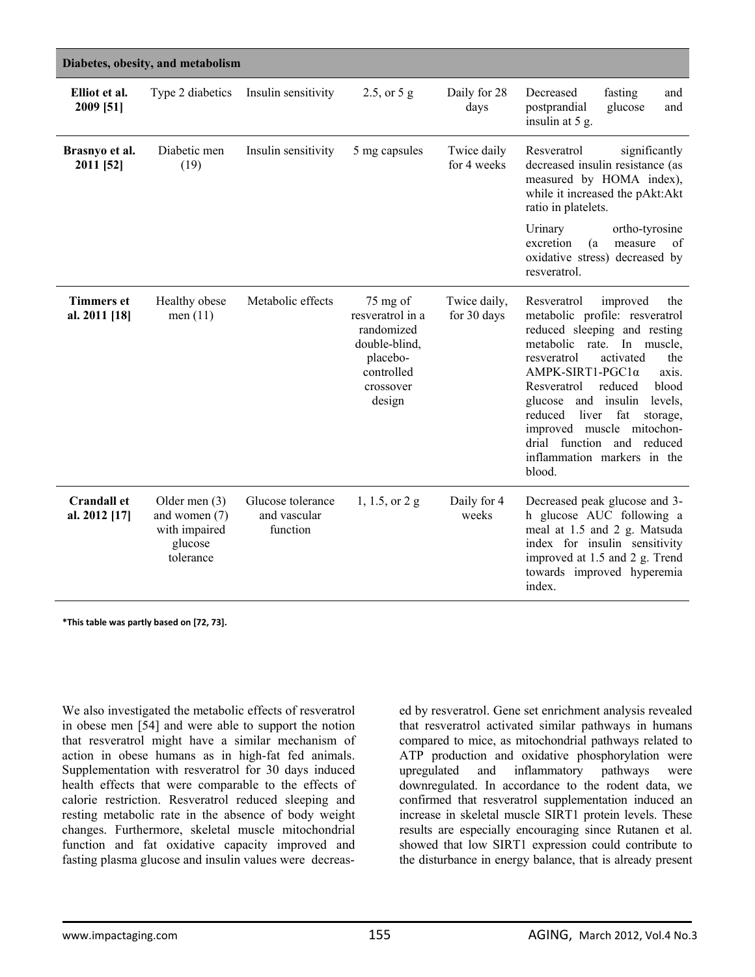| Diabetes, obesity, and metabolism   |                                                                           |                                               |                                                                                                              |                             |                                                                                                                                                                                                                                                                                                                                                                                                                            |  |
|-------------------------------------|---------------------------------------------------------------------------|-----------------------------------------------|--------------------------------------------------------------------------------------------------------------|-----------------------------|----------------------------------------------------------------------------------------------------------------------------------------------------------------------------------------------------------------------------------------------------------------------------------------------------------------------------------------------------------------------------------------------------------------------------|--|
| Elliot et al.<br>2009 [51]          | Type 2 diabetics                                                          | Insulin sensitivity                           | 2.5, or $5 g$                                                                                                | Daily for 28<br>days        | Decreased<br>fasting<br>and<br>postprandial<br>glucose<br>and<br>insulin at 5 g.                                                                                                                                                                                                                                                                                                                                           |  |
| Brasnyo et al.<br>2011 [52]         | Diabetic men<br>(19)                                                      | Insulin sensitivity                           | 5 mg capsules                                                                                                | Twice daily<br>for 4 weeks  | significantly<br>Resveratrol<br>decreased insulin resistance (as<br>measured by HOMA index),<br>while it increased the pAkt:Akt<br>ratio in platelets.                                                                                                                                                                                                                                                                     |  |
|                                     |                                                                           |                                               |                                                                                                              |                             | Urinary<br>ortho-tyrosine<br>excretion<br>(a)<br>measure<br>of<br>oxidative stress) decreased by<br>resveratrol.                                                                                                                                                                                                                                                                                                           |  |
| <b>Timmers et</b><br>al. 2011 [18]  | Healthy obese<br>men $(11)$                                               | Metabolic effects                             | 75 mg of<br>resveratrol in a<br>randomized<br>double-blind,<br>placebo-<br>controlled<br>crossover<br>design | Twice daily,<br>for 30 days | Resveratrol<br>improved<br>the<br>metabolic profile: resveratrol<br>reduced sleeping and resting<br>metabolic<br>In muscle,<br>rate.<br>activated<br>the<br>resveratrol<br>AMPK-SIRT1-PGC1α<br>axis.<br>reduced<br>blood<br>Resveratrol<br>glucose<br>and insulin<br>levels,<br>reduced<br>liver<br>fat<br>storage,<br>improved muscle mitochon-<br>drial function and<br>reduced<br>inflammation markers in the<br>blood. |  |
| <b>Crandall et</b><br>al. 2012 [17] | Older men $(3)$<br>and women (7)<br>with impaired<br>glucose<br>tolerance | Glucose tolerance<br>and vascular<br>function | 1, 1.5, or 2 g                                                                                               | Daily for 4<br>weeks        | Decreased peak glucose and 3-<br>h glucose AUC following a<br>meal at 1.5 and 2 g. Matsuda<br>index for insulin sensitivity<br>improved at 1.5 and 2 g. Trend<br>towards improved hyperemia<br>index.                                                                                                                                                                                                                      |  |

**\*This table was partly based on [72, 73].**

We also investigated the metabolic effects of resveratrol in obese men [54] and were able to support the notion that resveratrol might have a similar mechanism of action in obese humans as in high-fat fed animals. Supplementation with resveratrol for 30 days induced health effects that were comparable to the effects of calorie restriction. Resveratrol reduced sleeping and resting metabolic rate in the absence of body weight changes. Furthermore, skeletal muscle mitochondrial function and fat oxidative capacity improved and fasting plasma glucose and insulin values were decreas-

ed by resveratrol. Gene set enrichment analysis revealed that resveratrol activated similar pathways in humans compared to mice, as mitochondrial pathways related to ATP production and oxidative phosphorylation were upregulated and inflammatory pathways were downregulated. In accordance to the rodent data, we confirmed that resveratrol supplementation induced an increase in skeletal muscle SIRT1 protein levels. These results are especially encouraging since Rutanen et al. showed that low SIRT1 expression could contribute to the disturbance in energy balance, that is already present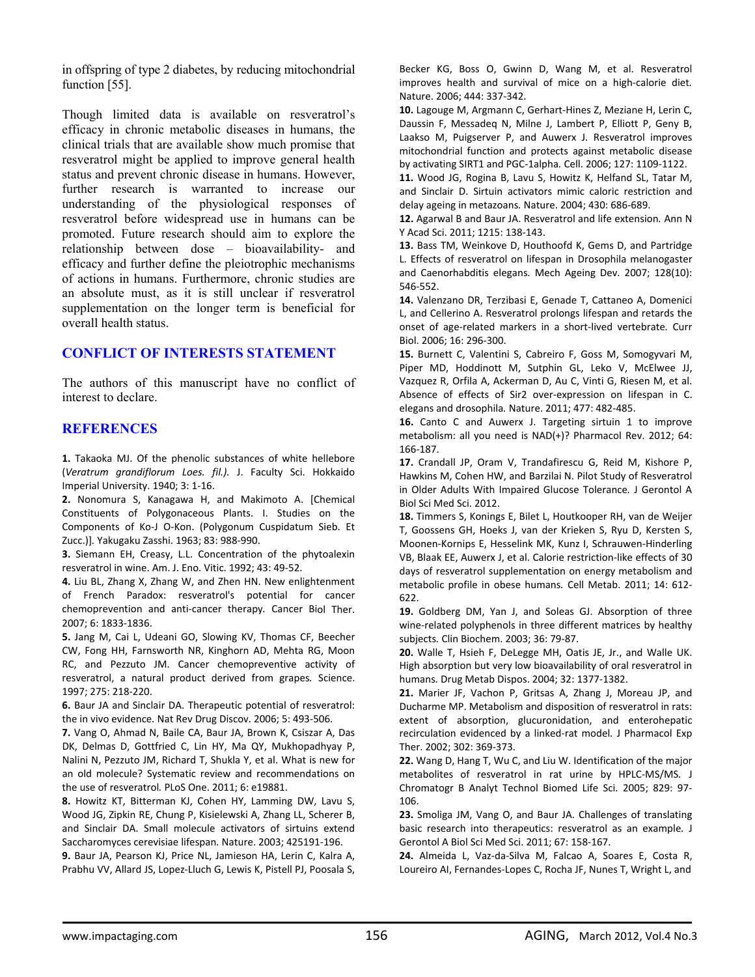in offspring of type 2 diabetes, by reducing mitochondrial function [55].

Though limited data is available on resveratrol's efficacy in chronic metabolic diseases in humans, the clinical trials that are available show much promise that resveratrol might be applied to improve general health status and prevent chronic disease in humans. However, further research is warranted to increase our understanding of the physiological responses of resveratrol before widespread use in humans can be promoted. Future research should aim to explore the relationship between dose – bioavailability- and efficacy and further define the pleiotrophic mechanisms of actions in humans. Furthermore, chronic studies are an absolute must, as it is still unclear if resveratrol supplementation on the longer term is beneficial for overall health status.

### **CONFLICT OF INTERESTS STATEMENT**

The authors of this manuscript have no conflict of interest to declare.

#### **REFERENCES**

**1.** Takaoka MJ. Of the phenolic substances of white hellebore (*Veratrum grandiflorum Loes. fil.).* J. Faculty Sci. Hokkaido Imperial University. 1940; 3: 1‐16.

**2.** Nonomura S, Kanagawa H, and Makimoto A. [Chemical Constituents of Polygonaceous Plants. I. Studies on the Components of Ko‐J O‐Kon. (Polygonum Cuspidatum Sieb. Et Zucc.)]*.* Yakugaku Zasshi. 1963; 83: 988‐990.

**3.** Siemann EH, Creasy, L.L. Concentration of the phytoalexin resveratrol in wine. Am. J. Eno. Vitic. 1992; 43: 49‐52.

**4.** Liu BL, Zhang X, Zhang W, and Zhen HN. New enlightenment of French Paradox: resveratrol's potential for cancer chemoprevention and anti‐cancer therapy*.* Cancer Biol Ther. 2007; 6: 1833‐1836.

**5.** Jang M, Cai L, Udeani GO, Slowing KV, Thomas CF, Beecher CW, Fong HH, Farnsworth NR, Kinghorn AD, Mehta RG, Moon RC, and Pezzuto JM. Cancer chemopreventive activity of resveratrol, a natural product derived from grapes*.* Science. 1997; 275: 218‐220.

**6.** Baur JA and Sinclair DA. Therapeutic potential of resveratrol: the in vivo evidence*.* Nat Rev Drug Discov. 2006; 5: 493‐506.

**7.** Vang O, Ahmad N, Baile CA, Baur JA, Brown K, Csiszar A, Das DK, Delmas D, Gottfried C, Lin HY, Ma QY, Mukhopadhyay P, Nalini N, Pezzuto JM, Richard T, Shukla Y, et al. What is new for an old molecule? Systematic review and recommendations on the use of resveratrol*.* PLoS One. 2011; 6: e19881.

**8.** Howitz KT, Bitterman KJ, Cohen HY, Lamming DW, Lavu S, Wood JG, Zipkin RE, Chung P, Kisielewski A, Zhang LL, Scherer B, and Sinclair DA. Small molecule activators of sirtuins extend Saccharomyces cerevisiae lifespan*.* Nature. 2003; 425191‐196.

**9.** Baur JA, Pearson KJ, Price NL, Jamieson HA, Lerin C, Kalra A, Prabhu VV, Allard JS, Lopez‐Lluch G, Lewis K, Pistell PJ, Poosala S, Becker KG, Boss O, Gwinn D, Wang M, et al. Resveratrol improves health and survival of mice on a high‐calorie diet*.* Nature. 2006; 444: 337‐342.

**10.** Lagouge M, Argmann C, Gerhart‐Hines Z, Meziane H, Lerin C, Daussin F, Messadeq N, Milne J, Lambert P, Elliott P, Geny B, Laakso M, Puigserver P, and Auwerx J. Resveratrol improves mitochondrial function and protects against metabolic disease by activating SIRT1 and PGC‐1alpha*.* Cell. 2006; 127: 1109‐1122.

**11.** Wood JG, Rogina B, Lavu S, Howitz K, Helfand SL, Tatar M, and Sinclair D. Sirtuin activators mimic caloric restriction and delay ageing in metazoans*.* Nature. 2004; 430: 686‐689.

**12.** Agarwal B and Baur JA. Resveratrol and life extension*.* Ann N Y Acad Sci. 2011; 1215: 138‐143.

**13.** Bass TM, Weinkove D, Houthoofd K, Gems D, and Partridge L. Effects of resveratrol on lifespan in Drosophila melanogaster and Caenorhabditis elegans*.* Mech Ageing Dev. 2007; 128(10): 546‐552.

**14.** Valenzano DR, Terzibasi E, Genade T, Cattaneo A, Domenici L, and Cellerino A. Resveratrol prolongs lifespan and retards the onset of age‐related markers in a short‐lived vertebrate*.* Curr Biol. 2006; 16: 296‐300.

**15.** Burnett C, Valentini S, Cabreiro F, Goss M, Somogyvari M, Piper MD, Hoddinott M, Sutphin GL, Leko V, McElwee JJ, Vazquez R, Orfila A, Ackerman D, Au C, Vinti G, Riesen M, et al. Absence of effects of Sir2 over‐expression on lifespan in C. elegans and drosophila*.* Nature. 2011; 477: 482‐485.

**16.** Canto C and Auwerx J. Targeting sirtuin 1 to improve metabolism: all you need is NAD(+)? Pharmacol Rev. 2012; 64: 166‐187.

**17.** Crandall JP, Oram V, Trandafirescu G, Reid M, Kishore P, Hawkins M, Cohen HW, and Barzilai N. Pilot Study of Resveratrol in Older Adults With Impaired Glucose Tolerance*.* J Gerontol A Biol Sci Med Sci. 2012.

**18.** Timmers S, Konings E, Bilet L, Houtkooper RH, van de Weijer T, Goossens GH, Hoeks J, van der Krieken S, Ryu D, Kersten S, Moonen‐Kornips E, Hesselink MK, Kunz I, Schrauwen‐Hinderling VB, Blaak EE, Auwerx J, et al. Calorie restriction‐like effects of 30 days of resveratrol supplementation on energy metabolism and metabolic profile in obese humans*.* Cell Metab. 2011; 14: 612‐ 622.

**19.** Goldberg DM, Yan J, and Soleas GJ. Absorption of three wine-related polyphenols in three different matrices by healthy subjects*.* Clin Biochem. 2003; 36: 79‐87.

**20.** Walle T, Hsieh F, DeLegge MH, Oatis JE, Jr., and Walle UK. High absorption but very low bioavailability of oral resveratrol in humans*.* Drug Metab Dispos. 2004; 32: 1377‐1382.

**21.** Marier JF, Vachon P, Gritsas A, Zhang J, Moreau JP, and Ducharme MP. Metabolism and disposition of resveratrol in rats: extent of absorption, glucuronidation, and enterohepatic recirculation evidenced by a linked‐rat model*.* J Pharmacol Exp Ther. 2002; 302: 369‐373.

**22.** Wang D, Hang T, Wu C, and Liu W. Identification of the major metabolites of resveratrol in rat urine by HPLC‐MS/MS*.* J Chromatogr B Analyt Technol Biomed Life Sci. 2005; 829: 97‐ 106.

**23.** Smoliga JM, Vang O, and Baur JA. Challenges of translating basic research into therapeutics: resveratrol as an example*.* J Gerontol A Biol Sci Med Sci. 2011; 67: 158‐167.

**24.** Almeida L, Vaz‐da‐Silva M, Falcao A, Soares E, Costa R, Loureiro AI, Fernandes‐Lopes C, Rocha JF, Nunes T, Wright L, and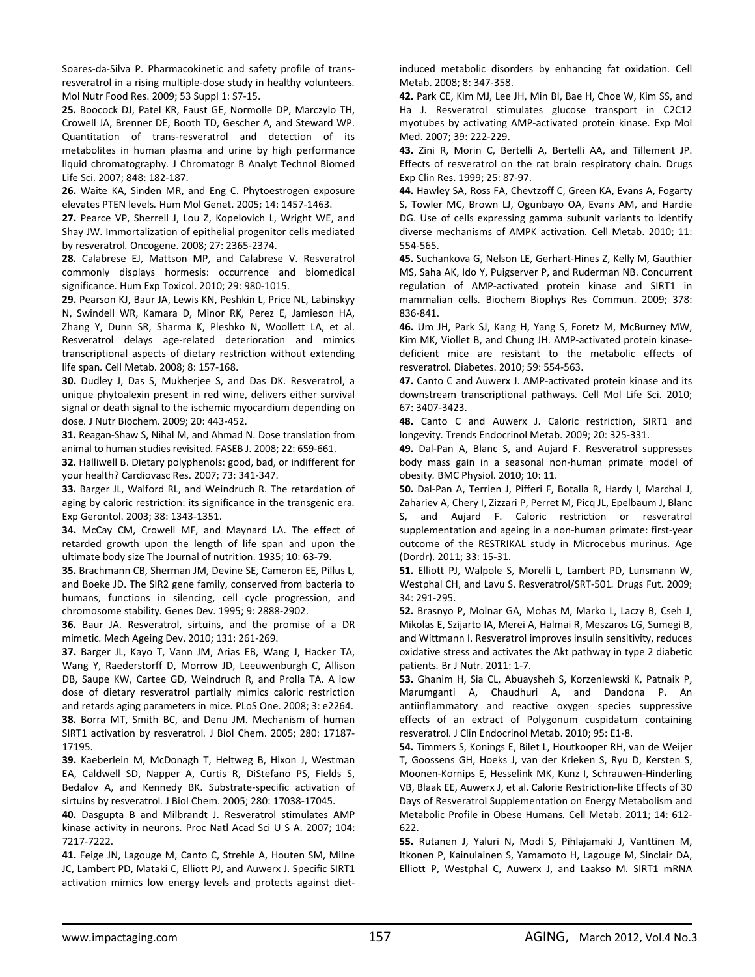Soares‐da‐Silva P. Pharmacokinetic and safety profile of trans‐ resveratrol in a rising multiple‐dose study in healthy volunteers*.* Mol Nutr Food Res. 2009; 53 Suppl 1: S7‐15.

**25.** Boocock DJ, Patel KR, Faust GE, Normolle DP, Marczylo TH, Crowell JA, Brenner DE, Booth TD, Gescher A, and Steward WP. Quantitation of trans‐resveratrol and detection of its metabolites in human plasma and urine by high performance liquid chromatography*.* J Chromatogr B Analyt Technol Biomed Life Sci. 2007; 848: 182‐187.

**26.** Waite KA, Sinden MR, and Eng C. Phytoestrogen exposure elevates PTEN levels*.* Hum Mol Genet. 2005; 14: 1457‐1463.

**27.** Pearce VP, Sherrell J, Lou Z, Kopelovich L, Wright WE, and Shay JW. Immortalization of epithelial progenitor cells mediated by resveratrol*.* Oncogene. 2008; 27: 2365‐2374.

**28.** Calabrese EJ, Mattson MP, and Calabrese V. Resveratrol commonly displays hormesis: occurrence and biomedical significance*.* Hum Exp Toxicol. 2010; 29: 980‐1015.

**29.** Pearson KJ, Baur JA, Lewis KN, Peshkin L, Price NL, Labinskyy N, Swindell WR, Kamara D, Minor RK, Perez E, Jamieson HA, Zhang Y, Dunn SR, Sharma K, Pleshko N, Woollett LA, et al. Resveratrol delays age-related deterioration and mimics transcriptional aspects of dietary restriction without extending life span*.* Cell Metab. 2008; 8: 157‐168.

**30.** Dudley J, Das S, Mukherjee S, and Das DK. Resveratrol, a unique phytoalexin present in red wine, delivers either survival signal or death signal to the ischemic myocardium depending on dose*.* J Nutr Biochem. 2009; 20: 443‐452.

**31.** Reagan‐Shaw S, Nihal M, and Ahmad N. Dose translation from animal to human studies revisited*.* FASEB J. 2008; 22: 659‐661.

**32.** Halliwell B. Dietary polyphenols: good, bad, or indifferent for your health? Cardiovasc Res. 2007; 73: 341‐347.

**33.** Barger JL, Walford RL, and Weindruch R. The retardation of aging by caloric restriction: its significance in the transgenic era*.* Exp Gerontol. 2003; 38: 1343‐1351.

**34.** McCay CM, Crowell MF, and Maynard LA. The effect of retarded growth upon the length of life span and upon the ultimate body size The Journal of nutrition. 1935; 10: 63‐79.

**35.** Brachmann CB, Sherman JM, Devine SE, Cameron EE, Pillus L, and Boeke JD. The SIR2 gene family, conserved from bacteria to humans, functions in silencing, cell cycle progression, and chromosome stability*.* Genes Dev. 1995; 9: 2888‐2902.

**36.** Baur JA. Resveratrol, sirtuins, and the promise of a DR mimetic*.* Mech Ageing Dev. 2010; 131: 261‐269.

**37.** Barger JL, Kayo T, Vann JM, Arias EB, Wang J, Hacker TA, Wang Y, Raederstorff D, Morrow JD, Leeuwenburgh C, Allison DB, Saupe KW, Cartee GD, Weindruch R, and Prolla TA. A low dose of dietary resveratrol partially mimics caloric restriction and retards aging parameters in mice*.* PLoS One. 2008; 3: e2264. **38.** Borra MT, Smith BC, and Denu JM. Mechanism of human SIRT1 activation by resveratrol*.* J Biol Chem. 2005; 280: 17187‐ 17195.

**39.** Kaeberlein M, McDonagh T, Heltweg B, Hixon J, Westman EA, Caldwell SD, Napper A, Curtis R, DiStefano PS, Fields S, Bedalov A, and Kennedy BK. Substrate‐specific activation of sirtuins by resveratrol*.* J Biol Chem. 2005; 280: 17038‐17045.

**40.** Dasgupta B and Milbrandt J. Resveratrol stimulates AMP kinase activity in neurons*.* Proc Natl Acad Sci U S A. 2007; 104: 7217‐7222.

**41.** Feige JN, Lagouge M, Canto C, Strehle A, Houten SM, Milne JC, Lambert PD, Mataki C, Elliott PJ, and Auwerx J. Specific SIRT1 activation mimics low energy levels and protects against diet‐ induced metabolic disorders by enhancing fat oxidation*.* Cell Metab. 2008; 8: 347‐358.

**42.** Park CE, Kim MJ, Lee JH, Min BI, Bae H, Choe W, Kim SS, and Ha J. Resveratrol stimulates glucose transport in C2C12 myotubes by activating AMP‐activated protein kinase*.* Exp Mol Med. 2007; 39: 222‐229.

**43.** Zini R, Morin C, Bertelli A, Bertelli AA, and Tillement JP. Effects of resveratrol on the rat brain respiratory chain*.* Drugs Exp Clin Res. 1999; 25: 87‐97.

**44.** Hawley SA, Ross FA, Chevtzoff C, Green KA, Evans A, Fogarty S, Towler MC, Brown LJ, Ogunbayo OA, Evans AM, and Hardie DG. Use of cells expressing gamma subunit variants to identify diverse mechanisms of AMPK activation*.* Cell Metab. 2010; 11: 554‐565.

**45.** Suchankova G, Nelson LE, Gerhart‐Hines Z, Kelly M, Gauthier MS, Saha AK, Ido Y, Puigserver P, and Ruderman NB. Concurrent regulation of AMP‐activated protein kinase and SIRT1 in mammalian cells*.* Biochem Biophys Res Commun. 2009; 378: 836‐841.

**46.** Um JH, Park SJ, Kang H, Yang S, Foretz M, McBurney MW, Kim MK, Viollet B, and Chung JH. AMP‐activated protein kinase‐ deficient mice are resistant to the metabolic effects of resveratrol*.* Diabetes. 2010; 59: 554‐563.

**47.** Canto C and Auwerx J. AMP‐activated protein kinase and its downstream transcriptional pathways*.* Cell Mol Life Sci. 2010; 67: 3407‐3423.

**48.** Canto C and Auwerx J. Caloric restriction, SIRT1 and longevity*.* Trends Endocrinol Metab. 2009; 20: 325‐331.

**49.** Dal‐Pan A, Blanc S, and Aujard F. Resveratrol suppresses body mass gain in a seasonal non‐human primate model of obesity*.* BMC Physiol. 2010; 10: 11.

**50.** Dal‐Pan A, Terrien J, Pifferi F, Botalla R, Hardy I, Marchal J, Zahariev A, Chery I, Zizzari P, Perret M, Picq JL, Epelbaum J, Blanc S, and Aujard F. Caloric restriction or resveratrol supplementation and ageing in a non‐human primate: first‐year outcome of the RESTRIKAL study in Microcebus murinus*.* Age (Dordr). 2011; 33: 15‐31.

**51.** Elliott PJ, Walpole S, Morelli L, Lambert PD, Lunsmann W, Westphal CH, and Lavu S. Resveratrol/SRT‐501*.* Drugs Fut. 2009; 34: 291‐295.

**52.** Brasnyo P, Molnar GA, Mohas M, Marko L, Laczy B, Cseh J, Mikolas E, Szijarto IA, Merei A, Halmai R, Meszaros LG, Sumegi B, and Wittmann I. Resveratrol improves insulin sensitivity, reduces oxidative stress and activates the Akt pathway in type 2 diabetic patients*.* Br J Nutr. 2011: 1‐7.

**53.** Ghanim H, Sia CL, Abuaysheh S, Korzeniewski K, Patnaik P, Marumganti A, Chaudhuri A, and Dandona P. An antiinflammatory and reactive oxygen species suppressive effects of an extract of Polygonum cuspidatum containing resveratrol*.* J Clin Endocrinol Metab. 2010; 95: E1‐8.

**54.** Timmers S, Konings E, Bilet L, Houtkooper RH, van de Weijer T, Goossens GH, Hoeks J, van der Krieken S, Ryu D, Kersten S, Moonen‐Kornips E, Hesselink MK, Kunz I, Schrauwen‐Hinderling VB, Blaak EE, Auwerx J, et al. Calorie Restriction‐like Effects of 30 Days of Resveratrol Supplementation on Energy Metabolism and Metabolic Profile in Obese Humans*.* Cell Metab. 2011; 14: 612‐ 622.

**55.** Rutanen J, Yaluri N, Modi S, Pihlajamaki J, Vanttinen M, Itkonen P, Kainulainen S, Yamamoto H, Lagouge M, Sinclair DA, Elliott P, Westphal C, Auwerx J, and Laakso M. SIRT1 mRNA